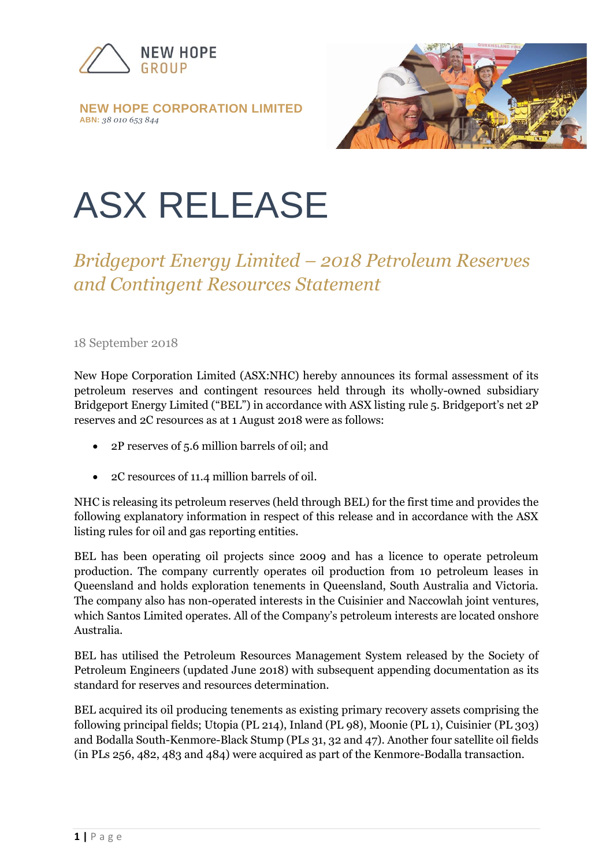

**NEW HOPE CORPORATION LIMITED ABN:** *38 010 653 844*



# ASX RELEASE

# *Bridgeport Energy Limited – 2018 Petroleum Reserves and Contingent Resources Statement*

### 18 September 2018

New Hope Corporation Limited (ASX:NHC) hereby announces its formal assessment of its petroleum reserves and contingent resources held through its wholly-owned subsidiary Bridgeport Energy Limited ("BEL") in accordance with ASX listing rule 5. Bridgeport's net 2P reserves and 2C resources as at 1 August 2018 were as follows:

- 2P reserves of 5.6 million barrels of oil; and
- 2C resources of 11.4 million barrels of oil.

NHC is releasing its petroleum reserves (held through BEL) for the first time and provides the following explanatory information in respect of this release and in accordance with the ASX listing rules for oil and gas reporting entities.

BEL has been operating oil projects since 2009 and has a licence to operate petroleum production. The company currently operates oil production from 10 petroleum leases in Queensland and holds exploration tenements in Queensland, South Australia and Victoria. The company also has non-operated interests in the Cuisinier and Naccowlah joint ventures, which Santos Limited operates. All of the Company's petroleum interests are located onshore Australia.

BEL has utilised the Petroleum Resources Management System released by the Society of Petroleum Engineers (updated June 2018) with subsequent appending documentation as its standard for reserves and resources determination.

BEL acquired its oil producing tenements as existing primary recovery assets comprising the following principal fields; Utopia (PL 214), Inland (PL 98), Moonie (PL 1), Cuisinier (PL 303) and Bodalla South-Kenmore-Black Stump (PLs 31, 32 and 47). Another four satellite oil fields (in PLs 256, 482, 483 and 484) were acquired as part of the Kenmore-Bodalla transaction.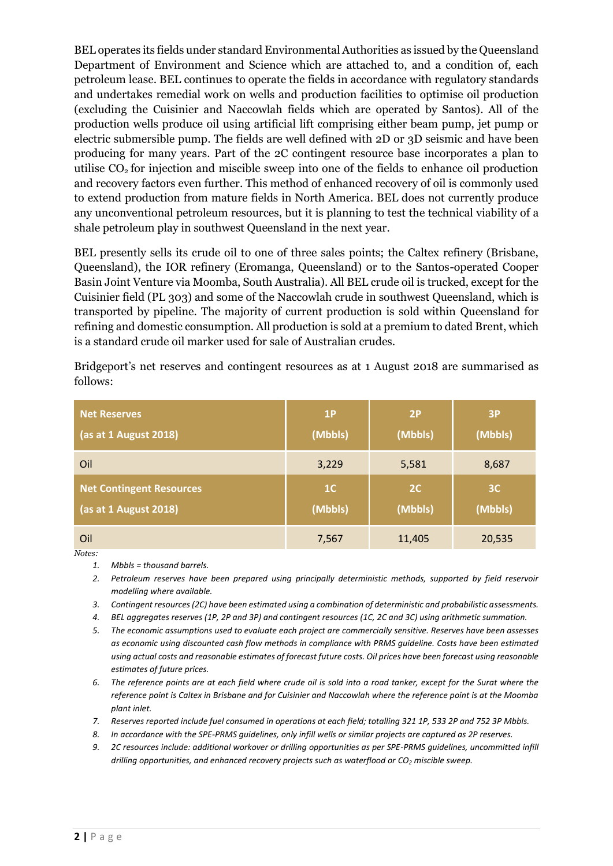BEL operates its fields under standard Environmental Authorities as issued by the Queensland Department of Environment and Science which are attached to, and a condition of, each petroleum lease. BEL continues to operate the fields in accordance with regulatory standards and undertakes remedial work on wells and production facilities to optimise oil production (excluding the Cuisinier and Naccowlah fields which are operated by Santos). All of the production wells produce oil using artificial lift comprising either beam pump, jet pump or electric submersible pump. The fields are well defined with 2D or 3D seismic and have been producing for many years. Part of the 2C contingent resource base incorporates a plan to utilise  $CO<sub>2</sub>$  for injection and miscible sweep into one of the fields to enhance oil production and recovery factors even further. This method of enhanced recovery of oil is commonly used to extend production from mature fields in North America. BEL does not currently produce any unconventional petroleum resources, but it is planning to test the technical viability of a shale petroleum play in southwest Queensland in the next year.

BEL presently sells its crude oil to one of three sales points; the Caltex refinery (Brisbane, Queensland), the IOR refinery (Eromanga, Queensland) or to the Santos-operated Cooper Basin Joint Venture via Moomba, South Australia). All BEL crude oil is trucked, except for the Cuisinier field (PL 303) and some of the Naccowlah crude in southwest Queensland, which is transported by pipeline. The majority of current production is sold within Queensland for refining and domestic consumption. All production is sold at a premium to dated Brent, which is a standard crude oil marker used for sale of Australian crudes.

Bridgeport's net reserves and contingent resources as at 1 August 2018 are summarised as follows:

| <b>Net Reserves</b>             | 1P             | 2P      | 3P             |
|---------------------------------|----------------|---------|----------------|
| (as at 1 August 2018)           | (Mbbls)        | (Mbbls) | (Mbbls)        |
| Oil                             | 3,229          | 5,581   | 8,687          |
| <b>Net Contingent Resources</b> | 1 <sup>C</sup> | 2C      | 3 <sup>C</sup> |
| (as at 1 August 2018)           | (Mbbls)        | (Mbbls) | (Mbbls)        |
| Oil                             | 7,567          | 11,405  | 20,535         |

*Notes:*

*1. Mbbls = thousand barrels.*

*2. Petroleum reserves have been prepared using principally deterministic methods, supported by field reservoir modelling where available.* 

*3. Contingent resources (2C) have been estimated using a combination of deterministic and probabilistic assessments.*

*4. BEL aggregates reserves (1P, 2P and 3P) and contingent resources (1C, 2C and 3C) using arithmetic summation.*

*5. The economic assumptions used to evaluate each project are commercially sensitive. Reserves have been assesses as economic using discounted cash flow methods in compliance with PRMS guideline. Costs have been estimated using actual costs and reasonable estimates of forecast future costs. Oil prices have been forecast using reasonable estimates of future prices.*

*6. The reference points are at each field where crude oil is sold into a road tanker, except for the Surat where the reference point is Caltex in Brisbane and for Cuisinier and Naccowlah where the reference point is at the Moomba plant inlet.* 

- *7. Reserves reported include fuel consumed in operations at each field; totalling 321 1P, 533 2P and 752 3P Mbbls.*
- *8. In accordance with the SPE-PRMS guidelines, only infill wells or similar projects are captured as 2P reserves.*

*9. 2C resources include: additional workover or drilling opportunities as per SPE-PRMS guidelines, uncommitted infill drilling opportunities, and enhanced recovery projects such as waterflood or CO<sup>2</sup> miscible sweep.*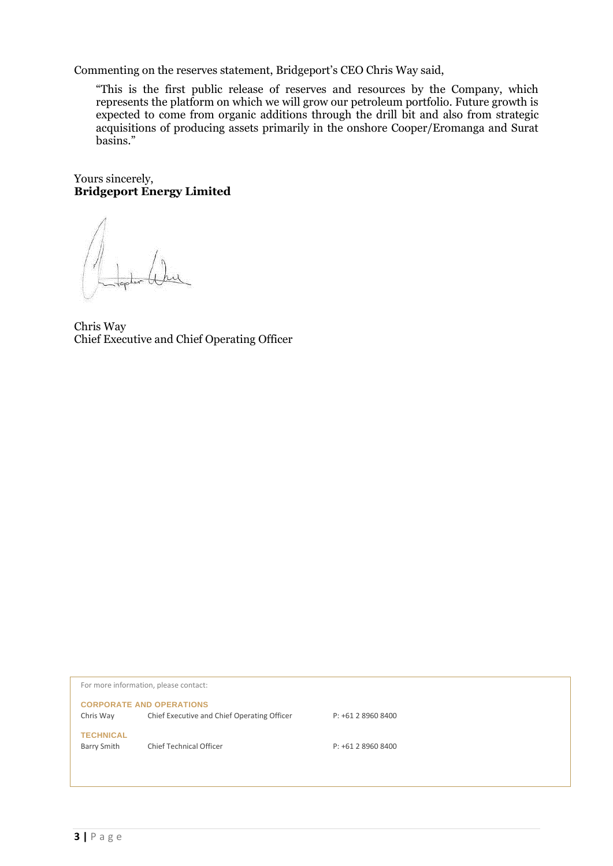Commenting on the reserves statement, Bridgeport's CEO Chris Way said,

"This is the first public release of reserves and resources by the Company, which represents the platform on which we will grow our petroleum portfolio. Future growth is expected to come from organic additions through the drill bit and also from strategic acquisitions of producing assets primarily in the onshore Cooper/Eromanga and Surat basins."

Yours sincerely, **Bridgeport Energy Limited**

Chris Way Chief Executive and Chief Operating Officer

| For more information, please contact:                                          |  |  |  |
|--------------------------------------------------------------------------------|--|--|--|
| <b>CORPORATE AND OPERATIONS</b>                                                |  |  |  |
| Chief Executive and Chief Operating Officer<br>Chris Way<br>P: +61 2 8960 8400 |  |  |  |
| <b>TECHNICAL</b>                                                               |  |  |  |
| <b>Chief Technical Officer</b><br>Barry Smith<br>$P: +61289608400$             |  |  |  |
|                                                                                |  |  |  |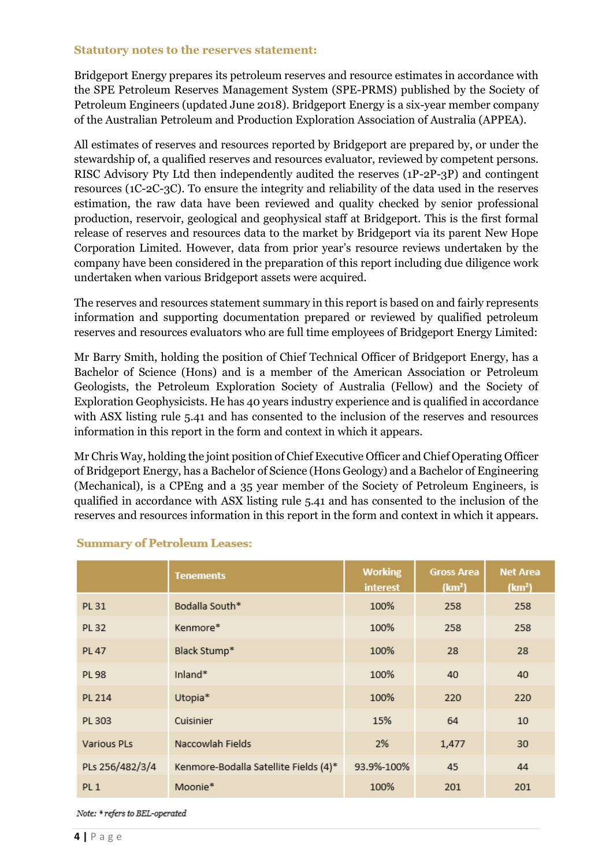#### **Statutory notes to the reserves statement:**

Bridgeport Energy prepares its petroleum reserves and resource estimates in accordance with the SPE Petroleum Reserves Management System (SPE-PRMS) published by the Society of Petroleum Engineers (updated June 2018). Bridgeport Energy is a six-year member company of the Australian Petroleum and Production Exploration Association of Australia (APPEA).

All estimates of reserves and resources reported by Bridgeport are prepared by, or under the stewardship of, a qualified reserves and resources evaluator, reviewed by competent persons. RISC Advisory Pty Ltd then independently audited the reserves (1P-2P-3P) and contingent resources (1C-2C-3C). To ensure the integrity and reliability of the data used in the reserves estimation, the raw data have been reviewed and quality checked by senior professional production, reservoir, geological and geophysical staff at Bridgeport. This is the first formal release of reserves and resources data to the market by Bridgeport via its parent New Hope Corporation Limited. However, data from prior year's resource reviews undertaken by the company have been considered in the preparation of this report including due diligence work undertaken when various Bridgeport assets were acquired.

The reserves and resources statement summary in this report is based on and fairly represents information and supporting documentation prepared or reviewed by qualified petroleum reserves and resources evaluators who are full time employees of Bridgeport Energy Limited:

Mr Barry Smith, holding the position of Chief Technical Officer of Bridgeport Energy, has a Bachelor of Science (Hons) and is a member of the American Association or Petroleum Geologists, the Petroleum Exploration Society of Australia (Fellow) and the Society of Exploration Geophysicists. He has 40 years industry experience and is qualified in accordance with ASX listing rule 5.41 and has consented to the inclusion of the reserves and resources information in this report in the form and context in which it appears.

Mr Chris Way, holding the joint position of Chief Executive Officer and Chief Operating Officer of Bridgeport Energy, has a Bachelor of Science (Hons Geology) and a Bachelor of Engineering (Mechanical), is a CPEng and a 35 year member of the Society of Petroleum Engineers, is qualified in accordance with ASX listing rule 5.41 and has consented to the inclusion of the reserves and resources information in this report in the form and context in which it appears.

|                    | <b>Tenements</b>                      | <b>Working</b><br>interest | <b>Gross Area</b><br>(km <sup>2</sup> ) | <b>Net Area</b><br>(km <sup>2</sup> ) |
|--------------------|---------------------------------------|----------------------------|-----------------------------------------|---------------------------------------|
| PL 31              | Bodalla South*                        | 100%                       | 258                                     | 258                                   |
| PL 32              | Kenmore*                              | 100%                       | 258                                     | 258                                   |
| <b>PL 47</b>       | Black Stump*                          | 100%                       | 28                                      | 28                                    |
| PL 98              | Inland*                               | 100%                       | 40                                      | 40                                    |
| PL 214             | Utopia*                               | 100%                       | 220                                     | 220                                   |
| PL 303             | Cuisinier                             | 15%                        | 64                                      | 10                                    |
| <b>Various PLs</b> | Naccowlah Fields                      | 2%                         | 1,477                                   | 30                                    |
| PLs 256/482/3/4    | Kenmore-Bodalla Satellite Fields (4)* | 93.9%-100%                 | 45                                      | 44                                    |
| PL <sub>1</sub>    | Moonie*                               | 100%                       | 201                                     | 201                                   |

#### **Summary of Petroleum Leases:**

Note: \* refers to BEL-operated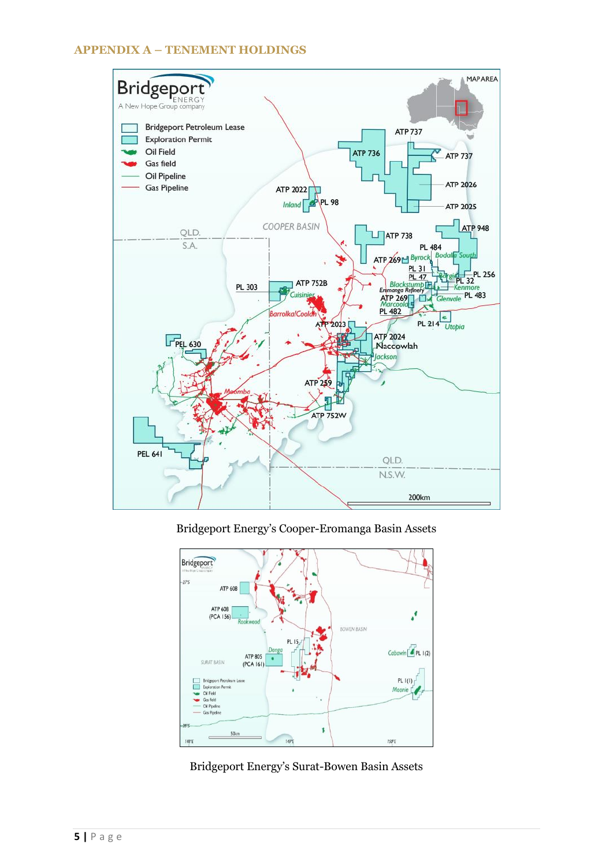# **APPENDIX A – TENEMENT HOLDINGS**



Bridgeport Energy's Cooper-Eromanga Basin Assets

![](_page_4_Figure_3.jpeg)

Bridgeport Energy's Surat-Bowen Basin Assets